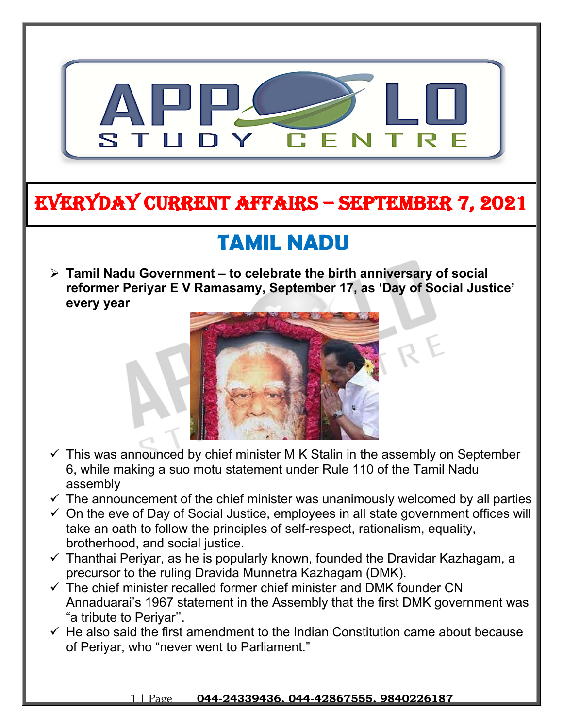

### **EVERYDAY CURRENT AFFAIRS – SEPTEMBER 7, 2021**

**-**

# **TAMIL NADU**

 **Tamil Nadu Government – to celebrate the birth anniversary of social reformer Periyar E V Ramasamy, September 17, as 'Day of Social Justice' every year**



- $\checkmark$  This was announced by chief minister M K Stalin in the assembly on September 6, while making a suo motu statement under Rule 110 of the Tamil Nadu assembly
- $\checkmark$  The announcement of the chief minister was unanimously welcomed by all parties
- $\checkmark$  On the eve of Day of Social Justice, employees in all state government offices will take an oath to follow the principles of self-respect, rationalism, equality, brotherhood, and social justice.
- $\checkmark$  Thanthai Periyar, as he is popularly known, founded the Dravidar Kazhagam, a precursor to the ruling Dravida Munnetra Kazhagam (DMK).
- $\checkmark$  The chief minister recalled former chief minister and DMK founder CN Annaduarai's 1967 statement in the Assembly that the first DMK government was "a tribute to Periyar''.
- $\checkmark$  He also said the first amendment to the Indian Constitution came about because of Periyar, who "never went to Parliament."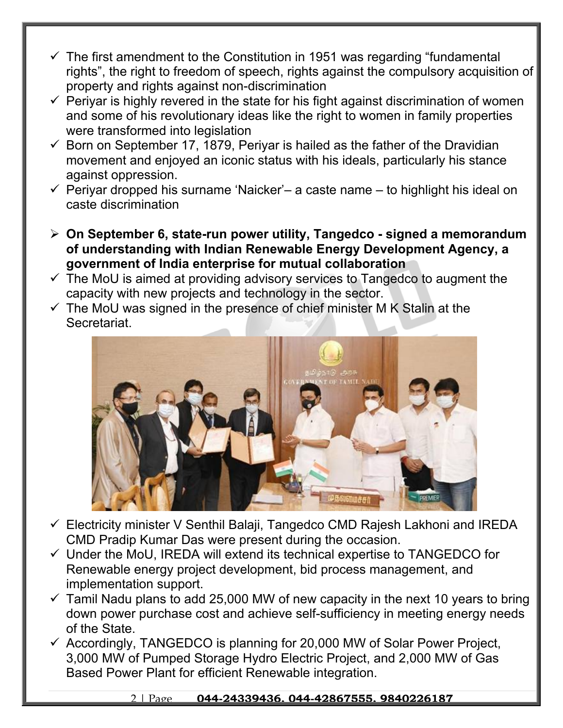- $\checkmark$  The first amendment to the Constitution in 1951 was regarding "fundamental rights", the right to freedom of speech, rights against the compulsory acquisition of property and rights against non-discrimination
- $\checkmark$  Periyar is highly revered in the state for his fight against discrimination of women and some of his revolutionary ideas like the right to women in family properties were transformed into legislation
- $\checkmark$  Born on September 17, 1879, Periyar is hailed as the father of the Dravidian movement and enjoyed an iconic status with his ideals, particularly his stance against oppression.
- $\checkmark$  Periyar dropped his surname 'Naicker'– a caste name to highlight his ideal on caste discrimination
- **On September 6, state-run power utility, Tangedco signed a memorandum of understanding with Indian Renewable Energy Development Agency, a government of India enterprise for mutual collaboration**
- $\checkmark$  The MoU is aimed at providing advisory services to Tangedco to augment the capacity with new projects and technology in the sector.
- $\checkmark$  The MoU was signed in the presence of chief minister M K Stalin at the Secretariat.



- Electricity minister V Senthil Balaji, Tangedco CMD Rajesh Lakhoni and IREDA CMD Pradip Kumar Das were present during the occasion.
- $\checkmark$  Under the MoU, IREDA will extend its technical expertise to TANGEDCO for Renewable energy project development, bid process management, and implementation support.
- $\checkmark$  Tamil Nadu plans to add 25,000 MW of new capacity in the next 10 years to bring down power purchase cost and achieve self-sufficiency in meeting energy needs of the State.
- $\checkmark$  Accordingly, TANGEDCO is planning for 20,000 MW of Solar Power Project, 3,000 MW of Pumped Storage Hydro Electric Project, and 2,000 MW of Gas Based Power Plant for efficient Renewable integration.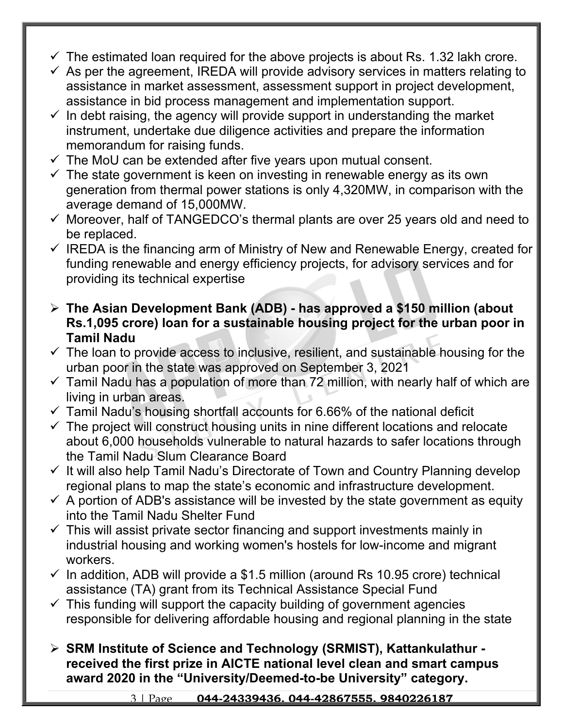- $\checkmark$  The estimated loan required for the above projects is about Rs. 1.32 lakh crore.
- $\checkmark$  As per the agreement, IREDA will provide advisory services in matters relating to assistance in market assessment, assessment support in project development, assistance in bid process management and implementation support.
- $\checkmark$  In debt raising, the agency will provide support in understanding the market instrument, undertake due diligence activities and prepare the information memorandum for raising funds.
- $\checkmark$  The MoU can be extended after five years upon mutual consent.
- $\checkmark$  The state government is keen on investing in renewable energy as its own generation from thermal power stations is only 4,320MW, in comparison with the average demand of 15,000MW.
- $\checkmark$  Moreover, half of TANGEDCO's thermal plants are over 25 years old and need to be replaced.
- $\checkmark$  IREDA is the financing arm of Ministry of New and Renewable Energy, created for funding renewable and energy efficiency projects, for advisory services and for providing its technical expertise
- **The Asian Development Bank (ADB) has approved a \$150 million (about Rs.1,095 crore) loan for a sustainable housing project for the urban poor in Tamil Nadu**
- $\checkmark$  The loan to provide access to inclusive, resilient, and sustainable housing for the urban poor in the state was approved on September 3, 2021
- $\checkmark$  Tamil Nadu has a population of more than 72 million, with nearly half of which are living in urban areas.
- $\checkmark$  Tamil Nadu's housing shortfall accounts for 6.66% of the national deficit
- $\checkmark$  The project will construct housing units in nine different locations and relocate about 6,000 households vulnerable to natural hazards to safer locations through the Tamil Nadu Slum Clearance Board
- $\checkmark$  It will also help Tamil Nadu's Directorate of Town and Country Planning develop regional plans to map the state's economic and infrastructure development.
- $\checkmark$  A portion of ADB's assistance will be invested by the state government as equity into the Tamil Nadu Shelter Fund
- $\checkmark$  This will assist private sector financing and support investments mainly in industrial housing and working women's hostels for low-income and migrant workers.
- $\checkmark$  In addition, ADB will provide a \$1.5 million (around Rs 10.95 crore) technical assistance (TA) grant from its Technical Assistance Special Fund
- $\checkmark$  This funding will support the capacity building of government agencies responsible for delivering affordable housing and regional planning in the state
- **SRM Institute of Science and Technology (SRMIST), Kattankulathur received the first prize in AICTE national level clean and smart campus award 2020 in the "University/Deemed-to-be University" category.**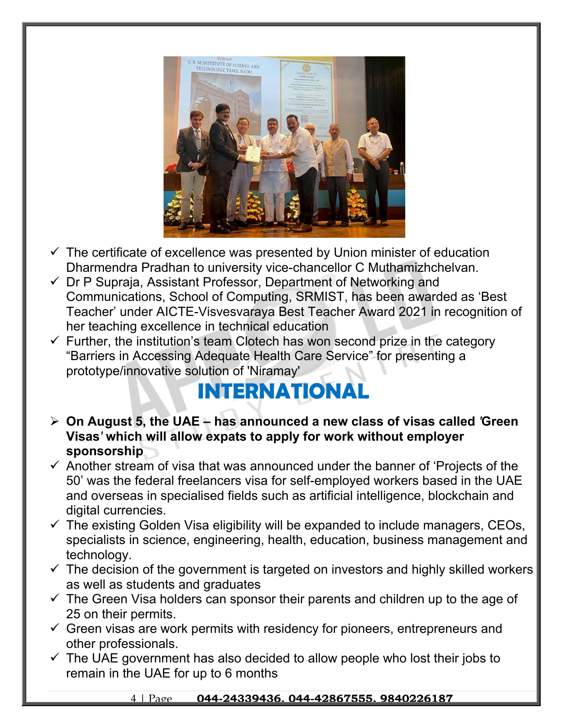

- $\checkmark$  The certificate of excellence was presented by Union minister of education Dharmendra Pradhan to university vice-chancellor C Muthamizhchelvan.
- $\checkmark$  Dr P Supraja, Assistant Professor, Department of Networking and Communications, School of Computing, SRMIST, has been awarded as 'Best Teacher' under AICTE-Visvesvaraya Best Teacher Award 2021 in recognition of her teaching excellence in technical education
- $\checkmark$  Further, the institution's team Clotech has won second prize in the category "Barriers in Accessing Adequate Health Care Service" for presenting a prototype/innovative solution of 'Niramay'

## **INTERNATIONAL**

- **On August 5, the UAE has announced a new class of visas called** *'***Green Visas***'* **which will allow expats to apply for work without employer sponsorship**
- $\checkmark$  Another stream of visa that was announced under the banner of 'Projects of the 50' was the federal freelancers visa for self-employed workers based in the UAE and overseas in specialised fields such as artificial intelligence, blockchain and digital currencies.
- $\checkmark$  The existing Golden Visa eligibility will be expanded to include managers, CEOs, specialists in science, engineering, health, education, business management and technology.
- $\checkmark$  The decision of the government is targeted on investors and highly skilled workers as well as students and graduates
- $\checkmark$  The Green Visa holders can sponsor their parents and children up to the age of 25 on their permits.
- $\checkmark$  Green visas are work permits with residency for pioneers, entrepreneurs and other professionals.
- $\checkmark$  The UAE government has also decided to allow people who lost their jobs to remain in the UAE for up to 6 months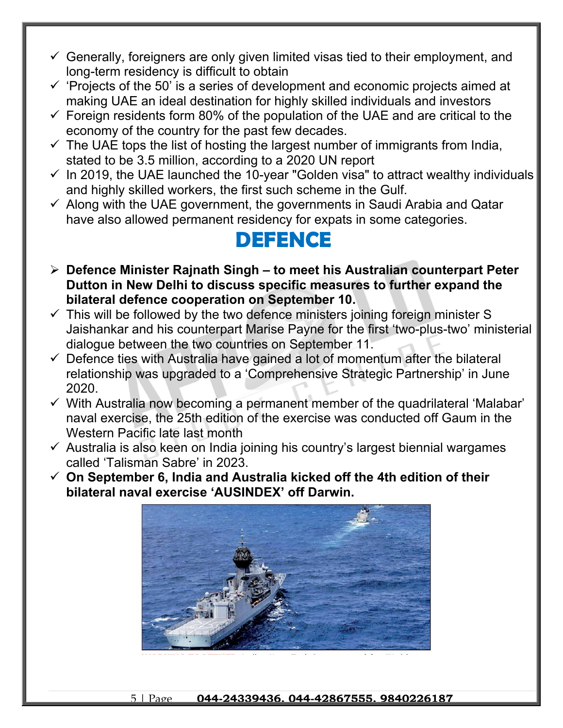- $\checkmark$  Generally, foreigners are only given limited visas tied to their employment, and long-term residency is difficult to obtain
- $\checkmark$  'Projects of the 50' is a series of development and economic projects aimed at making UAE an ideal destination for highly skilled individuals and investors
- $\checkmark$  Foreign residents form 80% of the population of the UAE and are critical to the economy of the country for the past few decades.
- $\checkmark$  The UAE tops the list of hosting the largest number of immigrants from India, stated to be 3.5 million, according to a 2020 UN report
- $\checkmark$  In 2019, the UAE launched the 10-year "Golden visa" to attract wealthy individuals and highly skilled workers, the first such scheme in the Gulf.
- $\checkmark$  Along with the UAE government, the governments in Saudi Arabia and Qatar have also allowed permanent residency for expats in some categories.

#### **DEFENCE**

- **Defence Minister Rajnath Singh to meet his Australian counterpart Peter Dutton in New Delhi to discuss specific measures to further expand the bilateral defence cooperation on September 10.**
- $\checkmark$  This will be followed by the two defence ministers joining foreign minister S Jaishankar and his counterpart Marise Payne for the first 'two-plus-two' ministerial dialogue between the two countries on September 11.
- $\checkmark$  Defence ties with Australia have gained a lot of momentum after the bilateral relationship was upgraded to a 'Comprehensive Strategic Partnership' in June 2020.
- $\checkmark$  With Australia now becoming a permanent member of the quadrilateral 'Malabar' naval exercise, the 25th edition of the exercise was conducted off Gaum in the Western Pacific late last month
- $\checkmark$  Australia is also keen on India joining his country's largest biennial wargames called 'Talisman Sabre' in 2023.
- **On September 6, India and Australia kicked off the 4th edition of their bilateral naval exercise 'AUSINDEX' off Darwin.**



5 | Page **044-24339436, 044-42867555, 9840226187**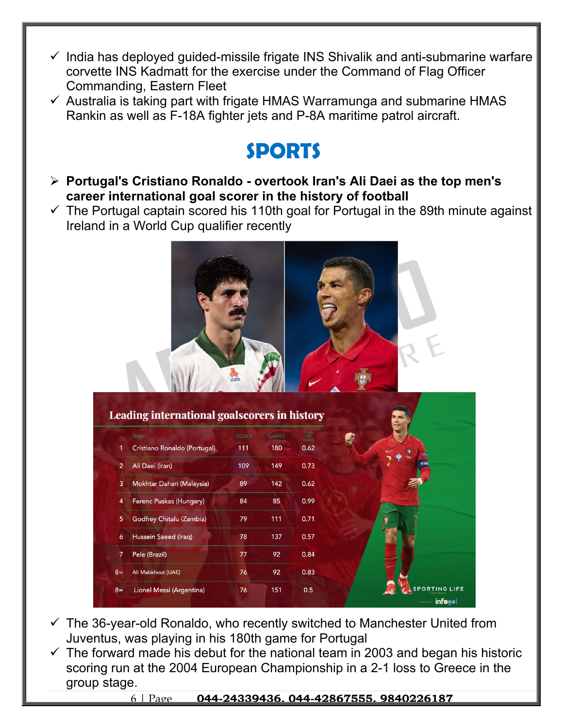- $\checkmark$  India has deployed guided-missile frigate INS Shivalik and anti-submarine warfare corvette INS Kadmatt for the exercise under the Command of Flag Officer Commanding, Eastern Fleet
- $\checkmark$  Australia is taking part with frigate HMAS Warramunga and submarine HMAS Rankin as well as F-18A fighter jets and P-8A maritime patrol aircraft.

### **SPORTS**

- **Portugal's Cristiano Ronaldo overtook Iran's Ali Daei as the top men's career international goal scorer in the history of football**
- $\checkmark$  The Portugal captain scored his 110th goal for Portugal in the 89th minute against Ireland in a World Cup qualifier recently



| Cristiano Ronaldo (Portugal)<br>180<br>0.62<br>1<br>111<br>$\overline{2}$<br>Ali Daei (Iran)<br>109<br>149<br>0.73<br>Mokhtar Dahari (Malaysia)<br>89<br>142<br>0.62<br>3<br>Ferenc Puskas (Hungary)<br>85<br>0.99<br>84<br>4<br>5<br>Godfrey Chitalu (Zambia)<br>79<br>111<br>0.71<br>0.57<br>Hussein Saeed (Iraq)<br>78<br>137<br>6<br>$\overline{7}$<br>Pele (Brazil)<br>0.84<br>77<br>92 | <b>GOALS</b> | <b>GAMES</b> | Goals<br>Per<br>Game |  |
|----------------------------------------------------------------------------------------------------------------------------------------------------------------------------------------------------------------------------------------------------------------------------------------------------------------------------------------------------------------------------------------------|--------------|--------------|----------------------|--|
|                                                                                                                                                                                                                                                                                                                                                                                              |              |              |                      |  |
|                                                                                                                                                                                                                                                                                                                                                                                              |              |              |                      |  |
|                                                                                                                                                                                                                                                                                                                                                                                              |              |              |                      |  |
|                                                                                                                                                                                                                                                                                                                                                                                              |              |              |                      |  |
|                                                                                                                                                                                                                                                                                                                                                                                              |              |              |                      |  |
|                                                                                                                                                                                                                                                                                                                                                                                              |              |              |                      |  |
|                                                                                                                                                                                                                                                                                                                                                                                              |              |              |                      |  |
| Ali Mabkhout (UAE)<br>$8=$                                                                                                                                                                                                                                                                                                                                                                   | 76           | 92           | 0.83                 |  |

- $\checkmark$  The 36-year-old Ronaldo, who recently switched to Manchester United from Juventus, was playing in his 180th game for Portugal
- $\checkmark$  The forward made his debut for the national team in 2003 and began his historic scoring run at the 2004 European Championship in a 2-1 loss to Greece in the group stage.